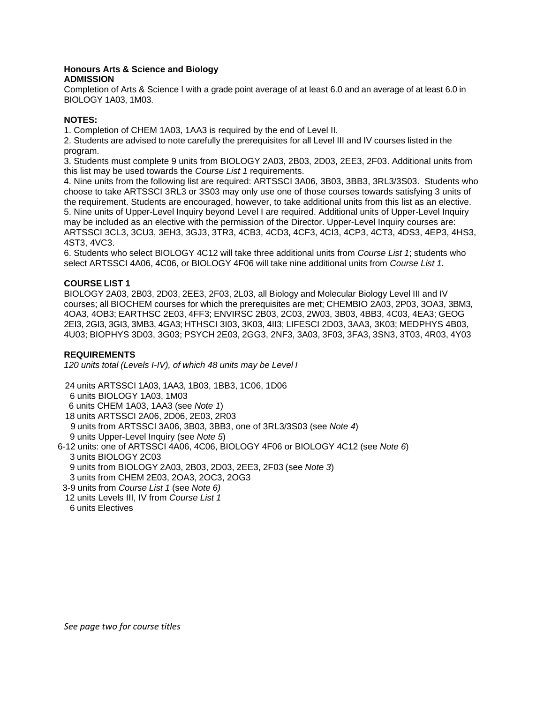#### **Honours Arts & Science and Biology ADMISSION**

Completion of Arts & Science I with a grade point average of at least 6.0 and an average of at least 6.0 in BIOLOGY 1A03, 1M03.

### **NOTES:**

1. Completion of CHEM 1A03, 1AA3 is required by the end of Level II.

2. Students are advised to note carefully the prerequisites for all Level III and IV courses listed in the program.

3. Students must complete 9 units from BIOLOGY 2A03, 2B03, 2D03, 2EE3, 2F03. Additional units from this list may be used towards the *Course List 1* requirements.

4. Nine units from the following list are required: ARTSSCI 3A06, 3B03, 3BB3, 3RL3/3S03. Students who choose to take ARTSSCI 3RL3 or 3S03 may only use one of those courses towards satisfying 3 units of the requirement. Students are encouraged, however, to take additional units from this list as an elective. 5. Nine units of Upper-Level Inquiry beyond Level I are required. Additional units of Upper-Level Inquiry may be included as an elective with the permission of the Director. Upper-Level Inquiry courses are: ARTSSCI 3CL3, 3CU3, 3EH3, 3GJ3, 3TR3, 4CB3, 4CD3, 4CF3, 4CI3, 4CP3, 4CT3, 4DS3, 4EP3, 4HS3, 4ST3, 4VC3.

6. Students who select BIOLOGY 4C12 will take three additional units from *Course List 1*; students who select ARTSSCI 4A06, 4C06, or BIOLOGY 4F06 will take nine additional units from *Course List 1.*

# **COURSE LIST 1**

BIOLOGY 2A03, 2B03, 2D03, 2EE3, 2F03, 2L03, all Biology and Molecular Biology Level III and IV courses; all BIOCHEM courses for which the prerequisites are met; CHEMBIO 2A03, 2P03, 3OA3, 3BM3, 4OA3, 4OB3; EARTHSC 2E03, 4FF3; ENVIRSC 2B03, 2C03, 2W03, 3B03, 4BB3, 4C03, 4EA3; GEOG 2EI3, 2GI3, 3GI3, 3MB3, 4GA3; HTHSCI 3I03, 3K03, 4II3; LIFESCI 2D03, 3AA3, 3K03; MEDPHYS 4B03, 4U03; BIOPHYS 3D03, 3G03; PSYCH 2E03, 2GG3, 2NF3, 3A03, 3F03, 3FA3, 3SN3, 3T03, 4R03, 4Y03

# **REQUIREMENTS**

*120 units total (Levels I-IV), of which 48 units may be Level I*

 24 units ARTSSCI 1A03, 1AA3, 1B03, 1BB3, 1C06, 1D06 6 units BIOLOGY 1A03, 1M03 6 units CHEM 1A03, 1AA3 (see *Note 1*) 18 units ARTSSCI 2A06, 2D06, 2E03, 2R03 9 units from ARTSSCI 3A06, 3B03, 3BB3, one of 3RL3/3S03 (see *Note 4*) 9 units Upper-Level Inquiry (see *Note 5*) 6-12 units: one of ARTSSCI 4A06, 4C06, BIOLOGY 4F06 or BIOLOGY 4C12 (see *Note 6*)

 3 units BIOLOGY 2C03 9 units from BIOLOGY 2A03, 2B03, 2D03, 2EE3, 2F03 (see *Note 3*) 3 units from CHEM 2E03, 2OA3, 2OC3, 2OG3

- 3-9 units from *Course List 1* (see *Note 6)*
- 12 units Levels III, IV from *Course List 1*

 <sup>6</sup> units Electives